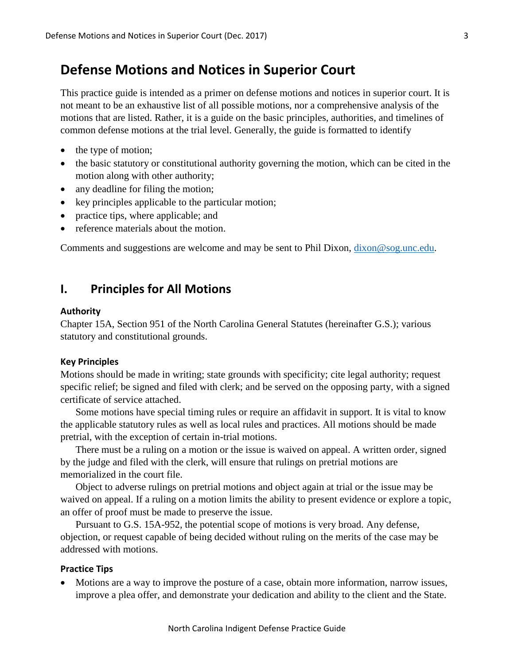# **Defense Motions and Notices in Superior Court**

This practice guide is intended as a primer on defense motions and notices in superior court. It is not meant to be an exhaustive list of all possible motions, nor a comprehensive analysis of the motions that are listed. Rather, it is a guide on the basic principles, authorities, and timelines of common defense motions at the trial level. Generally, the guide is formatted to identify

- the type of motion;
- the basic statutory or constitutional authority governing the motion, which can be cited in the motion along with other authority;
- any deadline for filing the motion;
- key principles applicable to the particular motion;
- practice tips, where applicable; and
- reference materials about the motion.

Comments and suggestions are welcome and may be sent to Phil Dixon, [dixon@sog.unc.edu.](mailto:dixon@sog.unc.edu)

## **I. Principles for All Motions**

#### **Authority**

Chapter 15A, Section 951 of the North Carolina General Statutes (hereinafter G.S.); various statutory and constitutional grounds.

#### **Key Principles**

Motions should be made in writing; state grounds with specificity; cite legal authority; request specific relief; be signed and filed with clerk; and be served on the opposing party, with a signed certificate of service attached.

Some motions have special timing rules or require an affidavit in support. It is vital to know the applicable statutory rules as well as local rules and practices. All motions should be made pretrial, with the exception of certain in-trial motions.

There must be a ruling on a motion or the issue is waived on appeal. A written order, signed by the judge and filed with the clerk, will ensure that rulings on pretrial motions are memorialized in the court file.

Object to adverse rulings on pretrial motions and object again at trial or the issue may be waived on appeal. If a ruling on a motion limits the ability to present evidence or explore a topic, an offer of proof must be made to preserve the issue.

Pursuant to G.S. 15A-952, the potential scope of motions is very broad. Any defense, objection, or request capable of being decided without ruling on the merits of the case may be addressed with motions.

#### **Practice Tips**

 Motions are a way to improve the posture of a case, obtain more information, narrow issues, improve a plea offer, and demonstrate your dedication and ability to the client and the State.